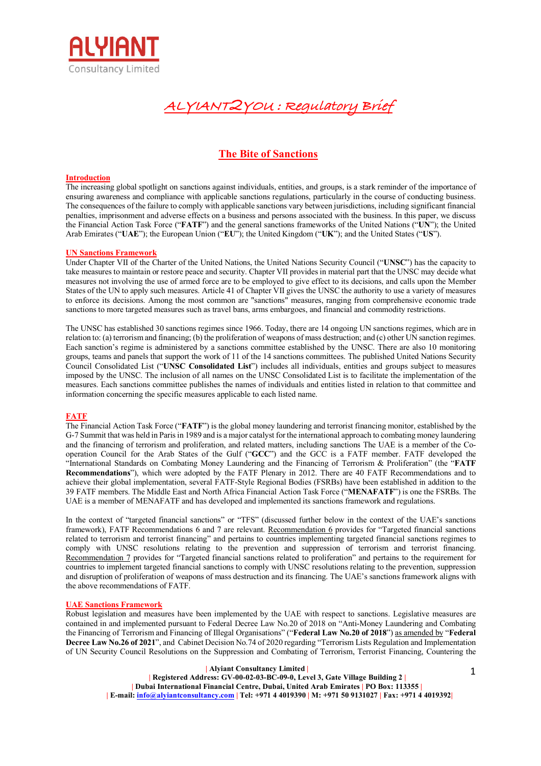

**ALYIANT2YOU : Regulatory Brief**

# **The Bite of Sanctions**

#### **Introduction**

The increasing global spotlight on sanctions against individuals, entities, and groups, is a stark reminder of the importance of ensuring awareness and compliance with applicable sanctions regulations, particularly in the course of conducting business. The consequences of the failure to comply with applicable sanctions vary between jurisdictions, including significant financial penalties, imprisonment and adverse effects on a business and persons associated with the business. In this paper, we discuss the Financial Action Task Force ("**FATF**") and the general sanctions frameworks of the United Nations ("**UN**"); the United Arab Emirates ("**UAE**"); the European Union ("**EU**"); the United Kingdom ("**UK**"); and the United States ("**US**").

#### **UN Sanctions Framework**

Under Chapter VII of the Charter of the United Nations, the United Nations Security Council ("**UNSC**") has the capacity to take measures to maintain or restore peace and security. Chapter VII provides in material part that the UNSC may decide what measures not involving the use of armed force are to be employed to give effect to its decisions, and calls upon the Member States of the UN to apply such measures. Article 41 of Chapter VII gives the UNSC the authority to use a variety of measures to enforce its decisions. Among the most common are "sanctions" measures, ranging from comprehensive economic trade sanctions to more targeted measures such as travel bans, arms embargoes, and financial and commodity restrictions.

The UNSC has established 30 sanctions regimes since 1966. Today, there are 14 ongoing UN sanctions regimes, which are in relation to: (a) terrorism and financing; (b) the proliferation of weapons of mass destruction; and (c) other UN sanction regimes. Each sanction's regime is administered by a sanctions committee established by the UNSC. There are also 10 monitoring groups, teams and panels that support the work of 11 of the 14 sanctions committees. The published United Nations Security Council Consolidated List ("**UNSC Consolidated List**") includes all individuals, entities and groups subject to measures imposed by the UNSC. The inclusion of all names on the UNSC Consolidated List is to facilitate the implementation of the measures. Each sanctions committee publishes the names of individuals and entities listed in relation to that committee and information concerning the specific measures applicable to each listed name.

## **FATF**

The Financial Action Task Force ("**FATF**") is the global money laundering and terrorist financing monitor, established by the G-7 Summit that was held in Paris in 1989 and is a major catalyst for the international approach to combating money laundering and the financing of terrorism and proliferation, and related matters, including sanctions The UAE is a member of the Cooperation Council for the Arab States of the Gulf ("**GCC**") and the GCC is a FATF member. FATF developed the "International Standards on Combating Money Laundering and the Financing of Terrorism & Proliferation" (the "**FATF Recommendations**"), which were adopted by the FATF Plenary in 2012. There are 40 FATF Recommendations and to achieve their global implementation, several FATF-Style Regional Bodies (FSRBs) have been established in addition to the 39 FATF members. The Middle East and North Africa Financial Action Task Force ("**MENAFATF**") is one the FSRBs. The UAE is a member of MENAFATF and has developed and implemented its sanctions framework and regulations.

In the context of "targeted financial sanctions" or "TFS" (discussed further below in the context of the UAE's sanctions framework), FATF Recommendations 6 and 7 are relevant. Recommendation 6 provides for "Targeted financial sanctions related to terrorism and terrorist financing" and pertains to countries implementing targeted financial sanctions regimes to comply with UNSC resolutions relating to the prevention and suppression of terrorism and terrorist financing. Recommendation 7 provides for "Targeted financial sanctions related to proliferation" and pertains to the requirement for countries to implement targeted financial sanctions to comply with UNSC resolutions relating to the prevention, suppression and disruption of proliferation of weapons of mass destruction and its financing. The UAE's sanctions framework aligns with the above recommendations of FATF.

## **UAE Sanctions Framework**

Robust legislation and measures have been implemented by the UAE with respect to sanctions. Legislative measures are contained in and implemented pursuant to Federal Decree Law No.20 of 2018 on "Anti-Money Laundering and Combating the Financing of Terrorism and Financing of Illegal Organisations" ("**Federal Law No.20 of 2018**") as amended by "**Federal Decree Law No.26 of 2021**", and Cabinet Decision No.74 of 2020 regarding "Terrorism Lists Regulation and Implementation of UN Security Council Resolutions on the Suppression and Combating of Terrorism, Terrorist Financing, Countering the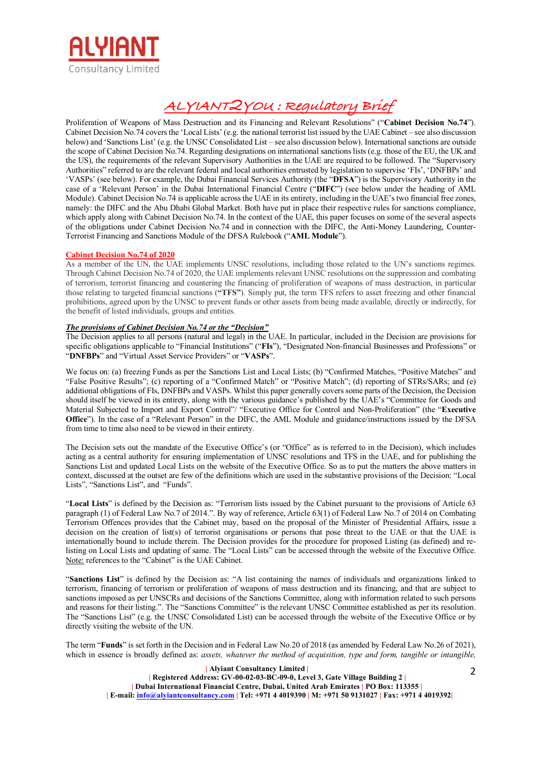

Proliferation of Weapons of Mass Destruction and its Financing and Relevant Resolutions" ("**Cabinet Decision No.74**"). Cabinet Decision No.74 covers the 'Local Lists' (e.g. the national terrorist list issued by the UAE Cabinet – see also discussion below) and 'Sanctions List' (e.g. the UNSC Consolidated List – see also discussion below). International sanctions are outside the scope of Cabinet Decision No.74. Regarding designations on international sanctions lists (e.g. those of the EU, the UK and the US), the requirements of the relevant Supervisory Authorities in the UAE are required to be followed. The "Supervisory Authorities" referred to are the relevant federal and local authorities entrusted by legislation to supervise 'FIs', 'DNFBPs' and 'VASPs' (see below). For example, the Dubai Financial Services Authority (the "**DFSA**") is the Supervisory Authority in the case of a 'Relevant Person' in the Dubai International Financial Centre ("**DIFC**") (see below under the heading of AML Module). Cabinet Decision No.74 is applicable across the UAE in its entirety, including in the UAE's two financial free zones, namely: the DIFC and the Abu Dhabi Global Market. Both have put in place their respective rules for sanctions compliance, which apply along with Cabinet Decision No.74. In the context of the UAE, this paper focuses on some of the several aspects of the obligations under Cabinet Decision No.74 and in connection with the DIFC, the Anti-Money Laundering, Counter-Terrorist Financing and Sanctions Module of the DFSA Rulebook ("**AML Module**").

# **Cabinet Decision No.74 of 2020**

As a member of the UN, the UAE implements UNSC resolutions, including those related to the UN's sanctions regimes. Through Cabinet Decision No.74 of 2020, the UAE implements relevant UNSC resolutions on the suppression and combating of terrorism, terrorist financing and countering the financing of proliferation of weapons of mass destruction, in particular those relating to targeted financial sanctions (**"TFS"**). Simply put, the term TFS refers to asset freezing and other financial prohibitions, agreed upon by the UNSC to prevent funds or other assets from being made available, directly or indirectly, for the benefit of listed individuals, groups and entities.

## *The provisions of Cabinet Decision No.74 or the "Decision"*

The Decision applies to all persons (natural and legal) in the UAE. In particular, included in the Decision are provisions for specific obligations applicable to "Financial Institutions" ("**FIs**"), "Designated Non-financial Businesses and Professions" or "**DNFBPs**" and "Virtual Asset Service Providers" or "**VASPs**".

We focus on: (a) freezing Funds as per the Sanctions List and Local Lists; (b) "Confirmed Matches, "Positive Matches" and "False Positive Results"; (c) reporting of a "Confirmed Match" or "Positive Match"; (d) reporting of STRs/SARs; and (e) additional obligations of FIs, DNFBPs and VASPs. Whilst this paper generally covers some parts of the Decision, the Decision should itself be viewed in its entirety, along with the various guidance's published by the UAE's "Committee for Goods and Material Subjected to Import and Export Control"/ "Executive Office for Control and Non-Proliferation" (the "**Executive Office**"). In the case of a "Relevant Person" in the DIFC, the AML Module and guidance/instructions issued by the DFSA from time to time also need to be viewed in their entirety.

The Decision sets out the mandate of the Executive Office's (or "Office" as is referred to in the Decision), which includes acting as a central authority for ensuring implementation of UNSC resolutions and TFS in the UAE, and for publishing the Sanctions List and updated Local Lists on the website of the Executive Office. So as to put the matters the above matters in context, discussed at the outset are few of the definitions which are used in the substantive provisions of the Decision: "Local Lists", "Sanctions List", and "Funds".

"**Local Lists**" is defined by the Decision as: "Terrorism lists issued by the Cabinet pursuant to the provisions of Article 63 paragraph (1) of Federal Law No.7 of 2014.". By way of reference, Article 63(1) of Federal Law No.7 of 2014 on Combating Terrorism Offences provides that the Cabinet may, based on the proposal of the Minister of Presidential Affairs, issue a decision on the creation of list(s) of terrorist organisations or persons that pose threat to the UAE or that the UAE is internationally bound to include therein. The Decision provides for the procedure for proposed Listing (as defined) and relisting on Local Lists and updating of same. The "Local Lists" can be accessed through the website of the Executive Office. Note: references to the "Cabinet" is the UAE Cabinet.

"**Sanctions List**" is defined by the Decision as: "A list containing the names of individuals and organizations linked to terrorism, financing of terrorism or proliferation of weapons of mass destruction and its financing, and that are subject to sanctions imposed as per UNSCRs and decisions of the Sanctions Committee, along with information related to such persons and reasons for their listing.". The "Sanctions Committee" is the relevant UNSC Committee established as per its resolution. The "Sanctions List" (e.g. the UNSC Consolidated List) can be accessed through the website of the Executive Office or by directly visiting the website of the UN.

The term "**Funds**" is set forth in the Decision and in Federal Law No.20 of 2018 (as amended by Federal Law No.26 of 2021), which in essence is broadly defined as: *assets, whatever the method of acquisition, type and form, tangible or intangible*,

2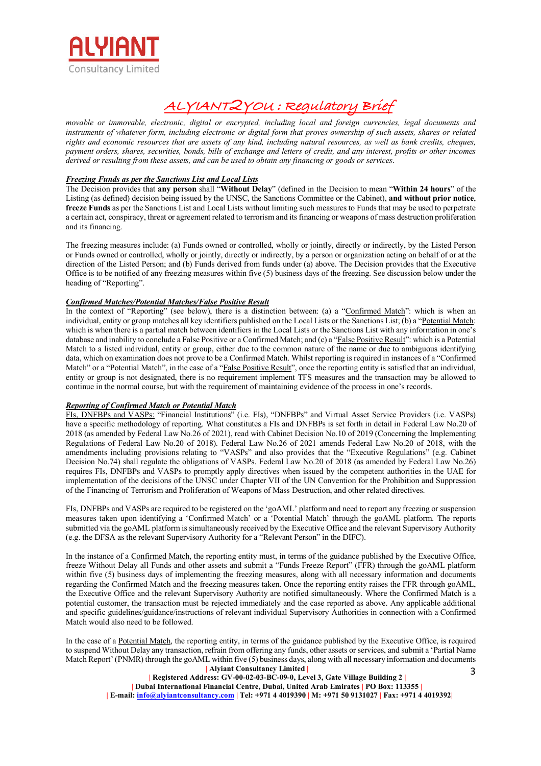

*movable or immovable, electronic, digital or encrypted, including local and foreign currencies, legal documents and instruments of whatever form, including electronic or digital form that proves ownership of such assets, shares or related rights and economic resources that are assets of any kind, including natural resources, as well as bank credits, cheques, payment orders, shares, securities, bonds, bills of exchange and letters of credit, and any interest, profits or other incomes derived or resulting from these assets, and can be used to obtain any financing or goods or services*.

# *Freezing Funds as per the Sanctions List and Local Lists*

The Decision provides that **any person** shall "**Without Delay**" (defined in the Decision to mean "**Within 24 hours**" of the Listing (as defined) decision being issued by the UNSC, the Sanctions Committee or the Cabinet), **and without prior notice**, **freeze Funds** as per the Sanctions List and Local Lists without limiting such measures to Funds that may be used to perpetrate a certain act, conspiracy, threat or agreement related to terrorism and its financing or weapons of mass destruction proliferation and its financing.

The freezing measures include: (a) Funds owned or controlled, wholly or jointly, directly or indirectly, by the Listed Person or Funds owned or controlled, wholly or jointly, directly or indirectly, by a person or organization acting on behalf of or at the direction of the Listed Person; and (b) Funds derived from funds under (a) above. The Decision provides that the Executive Office is to be notified of any freezing measures within five (5) business days of the freezing. See discussion below under the heading of "Reporting".

# *Confirmed Matches/Potential Matches/False Positive Result*

In the context of "Reporting" (see below), there is a distinction between: (a) a "Confirmed Match": which is when an individual, entity or group matches all key identifiers published on the Local Lists or the Sanctions List; (b) a "Potential Match: which is when there is a partial match between identifiers in the Local Lists or the Sanctions List with any information in one's database and inability to conclude a False Positive or a Confirmed Match; and (c) a "False Positive Result": which is a Potential Match to a listed individual, entity or group, either due to the common nature of the name or due to ambiguous identifying data, which on examination does not prove to be a Confirmed Match. Whilst reporting is required in instances of a "Confirmed Match" or a "Potential Match", in the case of a "False Positive Result", once the reporting entity is satisfied that an individual, entity or group is not designated, there is no requirement implement TFS measures and the transaction may be allowed to continue in the normal course, but with the requirement of maintaining evidence of the process in one's records.

## *Reporting of Confirmed Match or Potential Match*

FIs, DNFBPs and VASPs: "Financial Institutions" (i.e. FIs), "DNFBPs" and Virtual Asset Service Providers (i.e. VASPs) have a specific methodology of reporting. What constitutes a FIs and DNFBPs is set forth in detail in Federal Law No.20 of 2018 (as amended by Federal Law No.26 of 2021), read with Cabinet Decision No.10 of 2019 (Concerning the Implementing Regulations of Federal Law No.20 of 2018). Federal Law No.26 of 2021 amends Federal Law No.20 of 2018, with the amendments including provisions relating to "VASPs" and also provides that the "Executive Regulations" (e.g. Cabinet Decision No.74) shall regulate the obligations of VASPs. Federal Law No.20 of 2018 (as amended by Federal Law No.26) requires FIs, DNFBPs and VASPs to promptly apply directives when issued by the competent authorities in the UAE for implementation of the decisions of the UNSC under Chapter VII of the UN Convention for the Prohibition and Suppression of the Financing of Terrorism and Proliferation of Weapons of Mass Destruction, and other related directives.

FIs, DNFBPs and VASPs are required to be registered on the 'goAML' platform and need to report any freezing or suspension measures taken upon identifying a 'Confirmed Match' or a 'Potential Match' through the goAML platform. The reports submitted via the goAML platform is simultaneously received by the Executive Office and the relevant Supervisory Authority (e.g. the DFSA as the relevant Supervisory Authority for a "Relevant Person" in the DIFC).

In the instance of a Confirmed Match, the reporting entity must, in terms of the guidance published by the Executive Office, freeze Without Delay all Funds and other assets and submit a "Funds Freeze Report" (FFR) through the goAML platform within five (5) business days of implementing the freezing measures, along with all necessary information and documents regarding the Confirmed Match and the freezing measures taken. Once the reporting entity raises the FFR through goAML, the Executive Office and the relevant Supervisory Authority are notified simultaneously. Where the Confirmed Match is a potential customer, the transaction must be rejected immediately and the case reported as above. Any applicable additional and specific guidelines/guidance/instructions of relevant individual Supervisory Authorities in connection with a Confirmed Match would also need to be followed.

 **| Alyiant Consultancy Limited |**  3 In the case of a Potential Match, the reporting entity, in terms of the guidance published by the Executive Office, is required to suspend Without Delay any transaction, refrain from offering any funds, other assets or services, and submit a 'Partial Name Match Report' (PNMR) through the goAML within five (5) business days, along with all necessary information and documents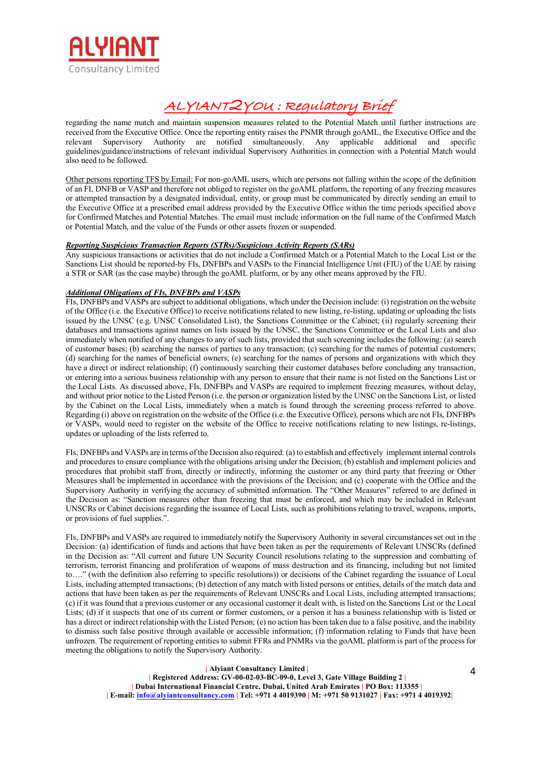

regarding the name match and maintain suspension measures related to the Potential Match until further instructions are received from the Executive Office. Once the reporting entity raises the PNMR through goAML, the Executive Office and the relevant Supervisory Authority are notified simultaneously. Any applicable additional and specific guidelines/guidance/instructions of relevant individual Supervisory Authorities in connection with a Potential Match would also need to be followed.

Other persons reporting TFS by Email: For non-goAML users, which are persons not falling within the scope of the definition of an FI, DNFB or VASP and therefore not obliged to register on the goAML platform, the reporting of any freezing measures or attempted transaction by a designated individual, entity, or group must be communicated by directly sending an email to the Executive Office at a prescribed email address provided by the Executive Office within the time periods specified above for Confirmed Matches and Potential Matches. The email must include information on the full name of the Confirmed Match or Potential Match, and the value of the Funds or other assets frozen or suspended.

# *Reporting Suspicious Transaction Reports (STRs)/Suspicious Activity Reports (SARs)*

Any suspicious transactions or activities that do not include a Confirmed Match or a Potential Match to the Local List or the Sanctions List should be reported-by FIs, DNFBPs and VASPs to the Financial Intelligence Unit (FIU) of the UAE by raising a STR or SAR (as the case maybe) through the goAML platform, or by any other means approved by the FIU.

# *Additional Obligations of FIs, DNFBPs and VASPs*

FIs, DNFBPs and VASPs are subject to additional obligations, which under the Decision include: (i) registration on the website of the Office (i.e. the Executive Office) to receive notifications related to new listing, re-listing, updating or uploading the lists issued by the UNSC (e.g. UNSC Consolidated List), the Sanctions Committee or the Cabinet; (ii) regularly screening their databases and transactions against names on lists issued by the UNSC, the Sanctions Committee or the Local Lists and also immediately when notified of any changes to any of such lists, provided that such screening includes the following: (a) search of customer bases; (b) searching the names of parties to any transaction; (c) searching for the names of potential customers; (d) searching for the names of beneficial owners; (e) searching for the names of persons and organizations with which they have a direct or indirect relationship; (f) continuously searching their customer databases before concluding any transaction. or entering into a serious business relationship with any person to ensure that their name is not listed on the Sanctions List or the Local Lists. As discussed above, FIs, DNFBPs and VASPs are required to implement freezing measures, without delay, and without prior notice to the Listed Person (i.e. the person or organization listed by the UNSC on the Sanctions List, or listed by the Cabinet on the Local Lists, immediately when a match is found through the screening process referred to above. Regarding (i) above on registration on the website of the Office (i.e. the Executive Office), persons which are not FIs, DNFBPs or VASPs, would need to register on the website of the Office to receive notifications relating to new listings, re-listings, updates or uploading of the lists referred to.

FIs, DNFBPs and VASPs are in terms of the Decision also required: (a) to establish and effectively implement internal controls and procedures to ensure compliance with the obligations arising under the Decision; (b) establish and implement policies and procedures that prohibit staff from, directly or indirectly, informing the customer or any third party that freezing or Other Measures shall be implemented in accordance with the provisions of the Decision; and (c) cooperate with the Office and the Supervisory Authority in verifying the accuracy of submitted information. The "Other Measures" referred to are defined in the Decision as: "Sanction measures other than freezing that must be enforced, and which may be included in Relevant UNSCRs or Cabinet decisions regarding the issuance of Local Lists, such as prohibitions relating to travel, weapons, imports, or provisions of fuel supplies.".

FIs, DNFBPs and VASPs are required to immediately notify the Supervisory Authority in several circumstances set out in the Decision: (a) identification of funds and actions that have been taken as per the requirements of Relevant UNSCRs (defined in the Decision as: "All current and future UN Security Council resolutions relating to the suppression and combatting of terrorism, terrorist financing and proliferation of weapons of mass destruction and its financing, including but not limited to…." (with the definition also referring to specific resolutions)) or decisions of the Cabinet regarding the issuance of Local Lists, including attempted transactions; (b) detection of any match with listed persons or entities, details of the match data and actions that have been taken as per the requirements of Relevant UNSCRs and Local Lists, including attempted transactions; (c) if it was found that a previous customer or any occasional customer it dealt with, is listed on the Sanctions List or the Local Lists; (d) if it suspects that one of its current or former customers, or a person it has a business relationship with is listed or has a direct or indirect relationship with the Listed Person; (e) no action has been taken due to a false positive, and the inability to dismiss such false positive through available or accessible information; (f) information relating to Funds that have been unfrozen. The requirement of reporting entities to submit FFRs and PNMRs via the goAML platform is part of the process for meeting the obligations to notify the Supervisory Authority.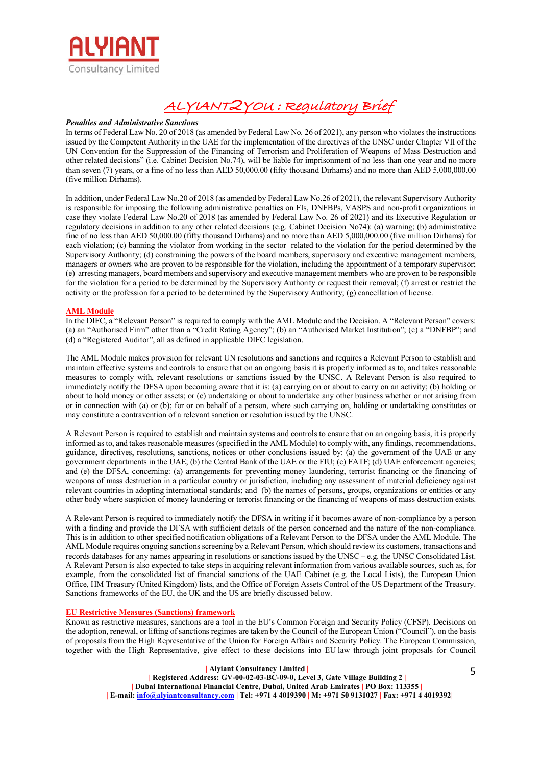

#### *Penalties and Administrative Sanctions*

In terms of Federal Law No. 20 of 2018 (as amended by Federal Law No. 26 of 2021), any person who violates the instructions issued by the Competent Authority in the UAE for the implementation of the directives of the UNSC under Chapter VII of the UN Convention for the Suppression of the Financing of Terrorism and Proliferation of Weapons of Mass Destruction and other related decisions" (i.e. Cabinet Decision No.74), will be liable for imprisonment of no less than one year and no more than seven (7) years, or a fine of no less than AED 50,000.00 (fifty thousand Dirhams) and no more than AED 5,000,000.00 (five million Dirhams).

In addition, under Federal Law No.20 of 2018 (as amended by Federal Law No.26 of 2021), the relevant Supervisory Authority is responsible for imposing the following administrative penalties on FIs, DNFBPs, VASPS and non-profit organizations in case they violate Federal Law No.20 of 2018 (as amended by Federal Law No. 26 of 2021) and its Executive Regulation or regulatory decisions in addition to any other related decisions (e.g. Cabinet Decision No74): (a) warning; (b) administrative fine of no less than AED 50,000.00 (fifty thousand Dirhams) and no more than AED 5,000,000.00 (five million Dirhams) for each violation; (c) banning the violator from working in the sector related to the violation for the period determined by the Supervisory Authority; (d) constraining the powers of the board members, supervisory and executive management members, managers or owners who are proven to be responsible for the violation, including the appointment of a temporary supervisor; (e) arresting managers, board members and supervisory and executive management members who are proven to be responsible for the violation for a period to be determined by the Supervisory Authority or request their removal; (f) arrest or restrict the activity or the profession for a period to be determined by the Supervisory Authority; (g) cancellation of license.

#### **AML Module**

In the DIFC, a "Relevant Person" is required to comply with the AML Module and the Decision. A "Relevant Person" covers: (a) an "Authorised Firm" other than a "Credit Rating Agency"; (b) an "Authorised Market Institution"; (c) a "DNFBP"; and (d) a "Registered Auditor", all as defined in applicable DIFC legislation.

The AML Module makes provision for relevant UN resolutions and sanctions and requires a Relevant Person to establish and maintain effective systems and controls to ensure that on an ongoing basis it is properly informed as to, and takes reasonable measures to comply with, relevant resolutions or sanctions issued by the UNSC. A Relevant Person is also required to immediately notify the DFSA upon becoming aware that it is: (a) carrying on or about to carry on an activity; (b) holding or about to hold money or other assets; or (c) undertaking or about to undertake any other business whether or not arising from or in connection with (a) or (b); for or on behalf of a person, where such carrying on, holding or undertaking constitutes or may constitute a contravention of a relevant sanction or resolution issued by the UNSC.

A Relevant Person is required to establish and maintain systems and controls to ensure that on an ongoing basis, it is properly informed as to, and takes reasonable measures (specified in the AML Module) to comply with, any findings, recommendations, guidance, directives, resolutions, sanctions, notices or other conclusions issued by: (a) the government of the UAE or any government departments in the UAE; (b) the Central Bank of the UAE or the FIU; (c) FATF; (d) UAE enforcement agencies; and (e) the DFSA, concerning: (a) arrangements for preventing money laundering, terrorist financing or the financing of weapons of mass destruction in a particular country or jurisdiction, including any assessment of material deficiency against relevant countries in adopting international standards; and (b) the names of persons, groups, organizations or entities or any other body where suspicion of money laundering or terrorist financing or the financing of weapons of mass destruction exists.

A Relevant Person is required to immediately notify the DFSA in writing if it becomes aware of non-compliance by a person with a finding and provide the DFSA with sufficient details of the person concerned and the nature of the non-compliance. This is in addition to other specified notification obligations of a Relevant Person to the DFSA under the AML Module. The AML Module requires ongoing sanctions screening by a Relevant Person, which should review its customers, transactions and records databases for any names appearing in resolutions or sanctions issued by the UNSC – e.g. the UNSC Consolidated List. A Relevant Person is also expected to take steps in acquiring relevant information from various available sources, such as, for example, from the consolidated list of financial sanctions of the UAE Cabinet (e.g. the Local Lists), the European Union Office, HM Treasury (United Kingdom) lists, and the Office of Foreign Assets Control of the US Department of the Treasury. Sanctions frameworks of the EU, the UK and the US are briefly discussed below.

## **EU Restrictive Measures (Sanctions) framework**

Known as restrictive measures, sanctions are a tool in the EU's Common Foreign and Security Policy (CFSP). Decisions on the adoption, renewal, or lifting of sanctions regimes are taken by the Council of the European Union ("Council"), on the basis of proposals from the High Representative of the Union for Foreign Affairs and Security Policy. The European Commission, together with the High Representative, give effect to these decisions into EU law through joint proposals for Council

#### **| Alyiant Consultancy Limited |**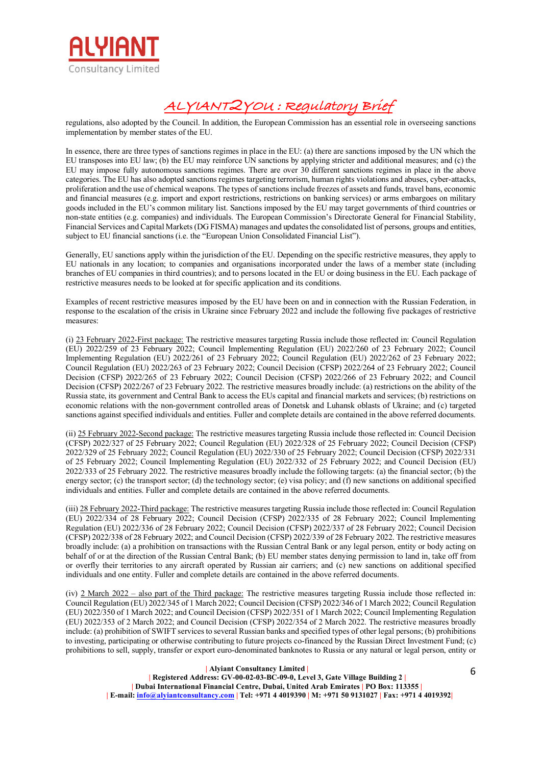

regulations, also adopted by the Council. In addition, the European Commission has an essential role in overseeing sanctions implementation by member states of the EU.

In essence, there are three types of sanctions regimes in place in the EU: (a) there are sanctions imposed by the UN which the EU transposes into EU law; (b) the EU may reinforce UN sanctions by applying stricter and additional measures; and (c) the EU may impose fully autonomous sanctions regimes. There are over 30 different sanctions regimes in place in the above categories. The EU has also adopted sanctions regimes targeting terrorism, human rights violations and abuses, cyber-attacks, proliferation and the use of chemical weapons. The types of sanctions include freezes of assets and funds, travel bans, economic and financial measures (e.g. import and export restrictions, restrictions on banking services) or arms embargoes on military goods included in the EU's common military list. Sanctions imposed by the EU may target governments of third countries or non-state entities (e.g. companies) and individuals. The European Commission's Directorate General for Financial Stability, Financial Services and Capital Markets (DG FISMA) manages and updates the consolidated list of persons, groups and entities, subject to EU financial sanctions (i.e. the "European Union Consolidated Financial List").

Generally, EU sanctions apply within the jurisdiction of the EU. Depending on the specific restrictive measures, they apply to EU nationals in any location; to companies and organisations incorporated under the laws of a member state (including branches of EU companies in third countries); and to persons located in the EU or doing business in the EU. Each package of restrictive measures needs to be looked at for specific application and its conditions.

Examples of recent restrictive measures imposed by the EU have been on and in connection with the Russian Federation, in response to the escalation of the crisis in Ukraine since February 2022 and include the following five packages of restrictive measures:

(i) 23 February 2022-First package: The restrictive measures targeting Russia include those reflected in: Council Regulation (EU) 2022/259 of 23 February 2022; Council Implementing Regulation (EU) 2022/260 of 23 February 2022; Council Implementing Regulation (EU) 2022/261 of 23 February 2022; Council Regulation (EU) 2022/262 of 23 February 2022; Council Regulation (EU) 2022/263 of 23 February 2022; Council Decision (CFSP) 2022/264 of 23 February 2022; Council Decision (CFSP) 2022/265 of 23 February 2022; Council Decision (CFSP) 2022/266 of 23 February 2022; and Council Decision (CFSP) 2022/267 of 23 February 2022. The restrictive measures broadly include: (a) restrictions on the ability of the Russia state, its government and Central Bank to access the EUs capital and financial markets and services; (b) restrictions on economic relations with the non-government controlled areas of Donetsk and Luhansk oblasts of Ukraine; and (c) targeted sanctions against specified individuals and entities. Fuller and complete details are contained in the above referred documents.

(ii) 25 February 2022-Second package: The restrictive measures targeting Russia include those reflected in: Council Decision (CFSP) 2022/327 of 25 February 2022; Council Regulation (EU) 2022/328 of 25 February 2022; Council Decision (CFSP) 2022/329 of 25 February 2022; Council Regulation (EU) 2022/330 of 25 February 2022; Council Decision (CFSP) 2022/331 of 25 February 2022; Council Implementing Regulation (EU) 2022/332 of 25 February 2022; and Council Decision (EU) 2022/333 of 25 February 2022. The restrictive measures broadly include the following targets: (a) the financial sector; (b) the energy sector; (c) the transport sector; (d) the technology sector; (e) visa policy; and (f) new sanctions on additional specified individuals and entities. Fuller and complete details are contained in the above referred documents.

(iii) 28 February 2022-Third package: The restrictive measures targeting Russia include those reflected in: Council Regulation (EU) 2022/334 of 28 February 2022; Council Decision (CFSP) 2022/335 of 28 February 2022; Council Implementing Regulation (EU) 2022/336 of 28 February 2022; Council Decision (CFSP) 2022/337 of 28 February 2022; Council Decision (CFSP) 2022/338 of 28 February 2022; and Council Decision (CFSP) 2022/339 of 28 February 2022. The restrictive measures broadly include: (a) a prohibition on transactions with the Russian Central Bank or any legal person, entity or body acting on behalf of or at the direction of the Russian Central Bank; (b) EU member states denying permission to land in, take off from or overfly their territories to any aircraft operated by Russian air carriers; and (c) new sanctions on additional specified individuals and one entity. Fuller and complete details are contained in the above referred documents.

(iv) 2 March 2022 – also part of the Third package: The restrictive measures targeting Russia include those reflected in: Council Regulation (EU) 2022/345 of 1 March 2022; Council Decision (CFSP) 2022/346 of 1 March 2022; Council Regulation (EU) 2022/350 of 1 March 2022; and Council Decision (CFSP) 2022/351 of 1 March 2022; Council Implementing Regulation (EU) 2022/353 of 2 March 2022; and Council Decision (CFSP) 2022/354 of 2 March 2022. The restrictive measures broadly include: (a) prohibition of SWIFT services to several Russian banks and specified types of other legal persons; (b) prohibitions to investing, participating or otherwise contributing to future projects co-financed by the Russian Direct Investment Fund; (c) prohibitions to sell, supply, transfer or export euro-denominated banknotes to Russia or any natural or legal person, entity or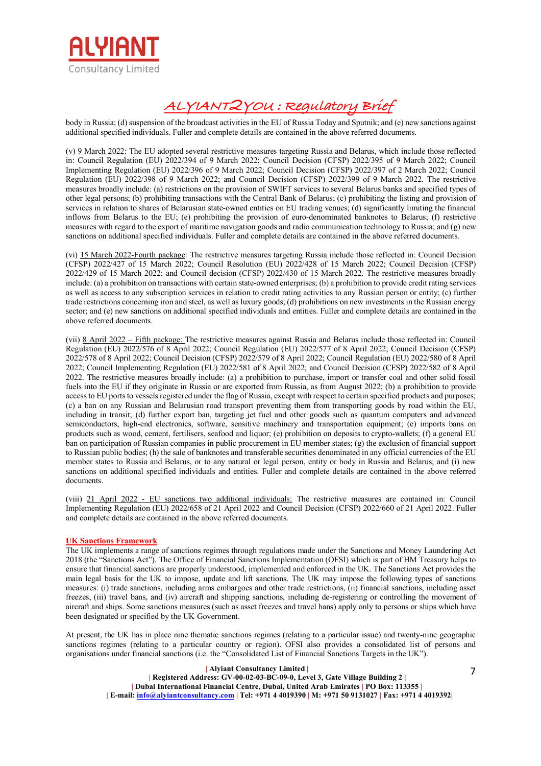

body in Russia; (d) suspension of the broadcast activities in the EU of Russia Today and Sputnik; and (e) new sanctions against additional specified individuals. Fuller and complete details are contained in the above referred documents.

(v) 9 March 2022: The EU adopted several restrictive measures targeting Russia and Belarus, which include those reflected in: Council Regulation (EU) 2022/394 of 9 March 2022; Council Decision (CFSP) 2022/395 of 9 March 2022; Council Implementing Regulation (EU) 2022/396 of 9 March 2022; Council Decision (CFSP) 2022/397 of 2 March 2022; Council Regulation (EU) 2022/398 of 9 March 2022; and Council Decision (CFSP) 2022/399 of 9 March 2022. The restrictive measures broadly include: (a) restrictions on the provision of SWIFT services to several Belarus banks and specified types of other legal persons; (b) prohibiting transactions with the Central Bank of Belarus; (c) prohibiting the listing and provision of services in relation to shares of Belarusian state-owned entities on EU trading venues; (d) significantly limiting the financial inflows from Belarus to the EU; (e) prohibiting the provision of euro-denominated banknotes to Belarus; (f) restrictive measures with regard to the export of maritime navigation goods and radio communication technology to Russia; and (g) new sanctions on additional specified individuals. Fuller and complete details are contained in the above referred documents.

(vi) 15 March 2022-Fourth package: The restrictive measures targeting Russia include those reflected in: Council Decision (CFSP) 2022/427 of 15 March 2022; Council Resolution (EU) 2022/428 of 15 March 2022; Council Decision (CFSP) 2022/429 of 15 March 2022; and Council decision (CFSP) 2022/430 of 15 March 2022. The restrictive measures broadly include: (a) a prohibition on transactions with certain state-owned enterprises; (b) a prohibition to provide credit rating services as well as access to any subscription services in relation to credit rating activities to any Russian person or entity; (c) further trade restrictions concerning iron and steel, as well as luxury goods; (d) prohibitions on new investments in the Russian energy sector; and (e) new sanctions on additional specified individuals and entities. Fuller and complete details are contained in the above referred documents.

(vii) 8 April 2022 – Fifth package: The restrictive measures against Russia and Belarus include those reflected in: Council Regulation (EU) 2022/576 of 8 April 2022; Council Regulation (EU) 2022/577 of 8 April 2022; Council Decision (CFSP) 2022/578 of 8 April 2022; Council Decision (CFSP) 2022/579 of 8 April 2022; Council Regulation (EU) 2022/580 of 8 April 2022; Council Implementing Regulation (EU) 2022/581 of 8 April 2022; and Council Decision (CFSP) 2022/582 of 8 April 2022. The restrictive measures broadly include: (a) a prohibition to purchase, import or transfer coal and other solid fossil fuels into the EU if they originate in Russia or are exported from Russia, as from August 2022; (b) a prohibition to provide access to EU ports to vessels registered under the flag of Russia, except with respect to certain specified products and purposes; (c) a ban on any Russian and Belarusian road transport preventing them from transporting goods by road within the EU, including in transit; (d) further export ban, targeting jet fuel and other goods such as quantum computers and advanced semiconductors, high-end electronics, software, sensitive machinery and transportation equipment; (e) imports bans on products such as wood, cement, fertilisers, seafood and liquor; (e) prohibition on deposits to crypto-wallets; (f) a general EU ban on participation of Russian companies in public procurement in EU member states; (g) the exclusion of financial support to Russian public bodies; (h) the sale of banknotes and transferable securities denominated in any official currencies of the EU member states to Russia and Belarus, or to any natural or legal person, entity or body in Russia and Belarus; and (i) new sanctions on additional specified individuals and entities. Fuller and complete details are contained in the above referred documents.

(viii) 21 April 2022 - EU sanctions two additional individuals: The restrictive measures are contained in: Council Implementing Regulation (EU) 2022/658 of 21 April 2022 and Council Decision (CFSP) 2022/660 of 21 April 2022. Fuller and complete details are contained in the above referred documents.

## **UK Sanctions Framework**

The UK implements a range of sanctions regimes through regulations made under the Sanctions and Money Laundering Act 2018 (the "Sanctions Act"). The Office of Financial Sanctions Implementation (OFSI) which is part of HM Treasury helps to ensure that financial sanctions are properly understood, implemented and enforced in the UK. The Sanctions Act provides the main legal basis for the UK to impose, update and lift sanctions. The UK may impose the following types of sanctions measures: (i) trade sanctions, including arms embargoes and other trade restrictions, (ii) financial sanctions, including asset freezes, (iii) travel bans, and (iv) aircraft and shipping sanctions, including de-registering or controlling the movement of aircraft and ships. Some sanctions measures (such as asset freezes and travel bans) apply only to persons or ships which have been designated or specified by the UK Government.

At present, the UK has in place nine thematic sanctions regimes (relating to a particular issue) and twenty-nine geographic sanctions regimes (relating to a particular country or region). OFSI also provides a consolidated list of persons and organisations under financial sanctions (i.e. the "Consolidated List of Financial Sanctions Targets in the UK").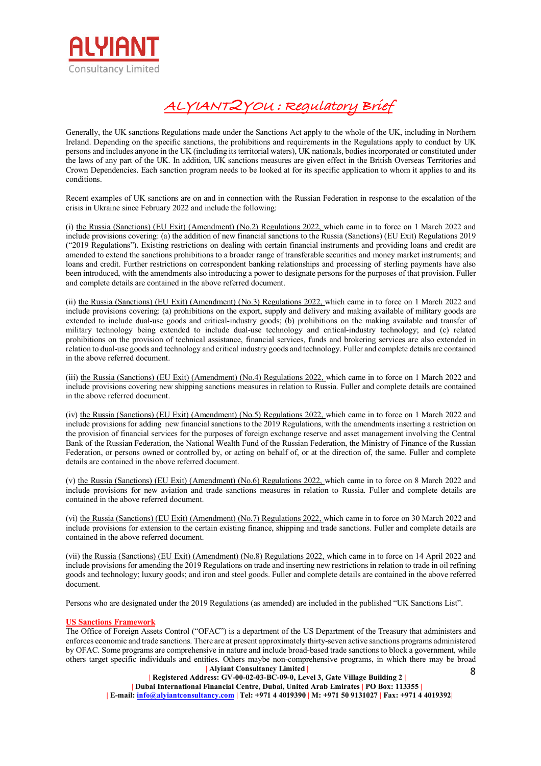

Generally, the UK sanctions Regulations made under the Sanctions Act apply to the whole of the UK, including in Northern Ireland. Depending on the specific sanctions, the prohibitions and requirements in the Regulations apply to conduct by UK persons and includes anyone in the UK (including its territorial waters), UK nationals, bodies incorporated or constituted under the laws of any part of the UK. In addition, UK sanctions measures are given effect in the British Overseas Territories and Crown Dependencies. Each sanction program needs to be looked at for its specific application to whom it applies to and its conditions.

Recent examples of UK sanctions are on and in connection with the Russian Federation in response to the escalation of the crisis in Ukraine since February 2022 and include the following:

(i) the Russia (Sanctions) (EU Exit) (Amendment) (No.2) Regulations 2022, which came in to force on 1 March 2022 and include provisions covering: (a) the addition of new financial sanctions to the Russia (Sanctions) (EU Exit) Regulations 2019 ("2019 Regulations"). Existing restrictions on dealing with certain financial instruments and providing loans and credit are amended to extend the sanctions prohibitions to a broader range of transferable securities and money market instruments; and loans and credit. Further restrictions on correspondent banking relationships and processing of sterling payments have also been introduced, with the amendments also introducing a power to designate persons for the purposes of that provision. Fuller and complete details are contained in the above referred document.

(ii) the Russia (Sanctions) (EU Exit) (Amendment) (No.3) Regulations 2022, which came in to force on 1 March 2022 and include provisions covering: (a) prohibitions on the export, supply and delivery and making available of military goods are extended to include dual-use goods and critical-industry goods; (b) prohibitions on the making available and transfer of military technology being extended to include dual-use technology and critical-industry technology; and (c) related prohibitions on the provision of technical assistance, financial services, funds and brokering services are also extended in relation to dual-use goods and technology and critical industry goods and technology. Fuller and complete details are contained in the above referred document.

(iii) the Russia (Sanctions) (EU Exit) (Amendment) (No.4) Regulations 2022, which came in to force on 1 March 2022 and include provisions covering new shipping sanctions measures in relation to Russia. Fuller and complete details are contained in the above referred document.

(iv) the Russia (Sanctions) (EU Exit) (Amendment) (No.5) Regulations 2022, which came in to force on 1 March 2022 and include provisions for adding new financial sanctions to the 2019 Regulations, with the amendments inserting a restriction on the provision of financial services for the purposes of foreign exchange reserve and asset management involving the Central Bank of the Russian Federation, the National Wealth Fund of the Russian Federation, the Ministry of Finance of the Russian Federation, or persons owned or controlled by, or acting on behalf of, or at the direction of, the same. Fuller and complete details are contained in the above referred document.

(v) the Russia (Sanctions) (EU Exit) (Amendment) (No.6) Regulations 2022, which came in to force on 8 March 2022 and include provisions for new aviation and trade sanctions measures in relation to Russia. Fuller and complete details are contained in the above referred document.

(vi) the Russia (Sanctions) (EU Exit) (Amendment) (No.7) Regulations 2022, which came in to force on 30 March 2022 and include provisions for extension to the certain existing finance, shipping and trade sanctions. Fuller and complete details are contained in the above referred document.

(vii) the Russia (Sanctions) (EU Exit) (Amendment) (No.8) Regulations 2022, which came in to force on 14 April 2022 and include provisions for amending the 2019 Regulations on trade and inserting new restrictions in relation to trade in oil refining goods and technology; luxury goods; and iron and steel goods. Fuller and complete details are contained in the above referred document.

Persons who are designated under the 2019 Regulations (as amended) are included in the published "UK Sanctions List".

## **US Sanctions Framework**

 **| Alyiant Consultancy Limited |**  The Office of Foreign Assets Control ("OFAC") is a department of the US Department of the Treasury that administers and enforces economic and trade sanctions. There are at present approximately thirty-seven active sanctions programs administered by OFAC. Some programs are comprehensive in nature and include broad-based trade sanctions to block a government, while others target specific individuals and entities. Others maybe non-comprehensive programs, in which there may be broad

 **| Registered Address: GV-00-02-03-BC-09-0, Level 3, Gate Village Building 2 | | Dubai International Financial Centre, Dubai, United Arab Emirates | PO Box: 113355 | | E-mail: info@alyiantconsultancy.com | Tel: +971 4 4019390 | M: +971 50 9131027 | Fax: +971 4 4019392|** 8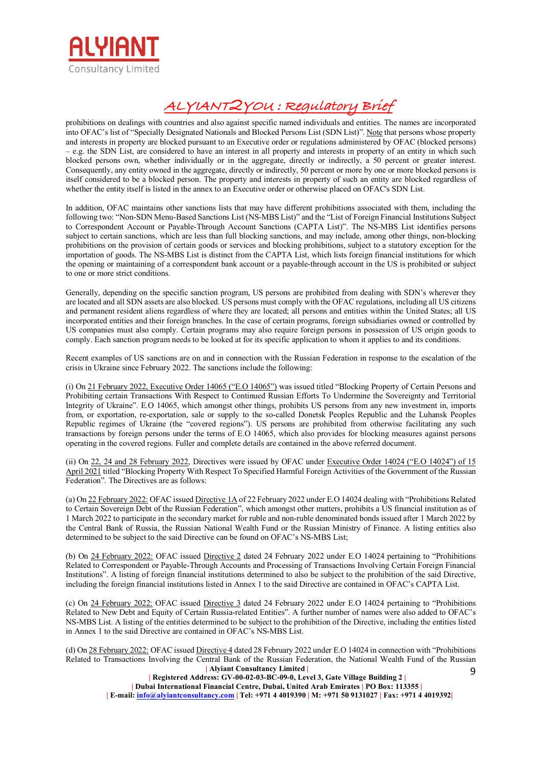

prohibitions on dealings with countries and also against specific named individuals and entities. The names are incorporated into OFAC's list of "Specially Designated Nationals and Blocked Persons List (SDN List)". Note that persons whose property and interests in property are blocked pursuant to an Executive order or regulations administered by OFAC (blocked persons) – e.g. the SDN List, are considered to have an interest in all property and interests in property of an entity in which such blocked persons own, whether individually or in the aggregate, directly or indirectly, a 50 percent or greater interest. Consequently, any entity owned in the aggregate, directly or indirectly, 50 percent or more by one or more blocked persons is itself considered to be a blocked person. The property and interests in property of such an entity are blocked regardless of whether the entity itself is listed in the annex to an Executive order or otherwise placed on OFAC's SDN List.

In addition, OFAC maintains other sanctions lists that may have different prohibitions associated with them, including the following two: "Non-SDN Menu-Based Sanctions List (NS-MBS List)" and the "List of Foreign Financial Institutions Subject to Correspondent Account or Payable-Through Account Sanctions (CAPTA List)". The NS-MBS List identifies persons subject to certain sanctions, which are less than full blocking sanctions, and may include, among other things, non-blocking prohibitions on the provision of certain goods or services and blocking prohibitions, subject to a statutory exception for the importation of goods. The NS-MBS List is distinct from the CAPTA List, which lists foreign financial institutions for which the opening or maintaining of a correspondent bank account or a payable-through account in the US is prohibited or subject to one or more strict conditions.

Generally, depending on the specific sanction program, US persons are prohibited from dealing with SDN's wherever they are located and all SDN assets are also blocked. US persons must comply with the OFAC regulations, including all US citizens and permanent resident aliens regardless of where they are located; all persons and entities within the United States; all US incorporated entities and their foreign branches. In the case of certain programs, foreign subsidiaries owned or controlled by US companies must also comply. Certain programs may also require foreign persons in possession of US origin goods to comply. Each sanction program needs to be looked at for its specific application to whom it applies to and its conditions.

Recent examples of US sanctions are on and in connection with the Russian Federation in response to the escalation of the crisis in Ukraine since February 2022. The sanctions include the following:

(i) On 21 February 2022, Executive Order 14065 ("E.O 14065") was issued titled "Blocking Property of Certain Persons and Prohibiting certain Transactions With Respect to Continued Russian Efforts To Undermine the Sovereignty and Territorial Integrity of Ukraine". E.O 14065, which amongst other things, prohibits US persons from any new investment in, imports from, or exportation, re-exportation, sale or supply to the so-called Donetsk Peoples Republic and the Luhansk Peoples Republic regimes of Ukraine (the "covered regions"). US persons are prohibited from otherwise facilitating any such transactions by foreign persons under the terms of E.O 14065, which also provides for blocking measures against persons operating in the covered regions. Fuller and complete details are contained in the above referred document.

(ii) On 22, 24 and 28 February 2022, Directives were issued by OFAC under Executive Order 14024 ("E.O 14024") of 15 April 2021 titled "Blocking Property With Respect To Specified Harmful Foreign Activities of the Government of the Russian Federation". The Directives are as follows:

(a) On 22 February 2022: OFAC issued Directive 1A of 22 February 2022 under E.O 14024 dealing with "Prohibitions Related to Certain Sovereign Debt of the Russian Federation", which amongst other matters, prohibits a US financial institution as of 1 March 2022 to participate in the secondary market for ruble and non-ruble denominated bonds issued after 1 March 2022 by the Central Bank of Russia, the Russian National Wealth Fund or the Russian Ministry of Finance. A listing entities also determined to be subject to the said Directive can be found on OFAC's NS-MBS List;

(b) On 24 February 2022: OFAC issued Directive 2 dated 24 February 2022 under E.O 14024 pertaining to "Prohibitions Related to Correspondent or Payable-Through Accounts and Processing of Transactions Involving Certain Foreign Financial Institutions". A listing of foreign financial institutions determined to also be subject to the prohibition of the said Directive, including the foreign financial institutions listed in Annex 1 to the said Directive are contained in OFAC's CAPTA List.

(c) On 24 February 2022: OFAC issued Directive 3 dated 24 February 2022 under E.O 14024 pertaining to "Prohibitions Related to New Debt and Equity of Certain Russia-related Entities". A further number of names were also added to OFAC's NS-MBS List. A listing of the entities determined to be subject to the prohibition of the Directive, including the entities listed in Annex 1 to the said Directive are contained in OFAC's NS-MBS List.

 **| Alyiant Consultancy Limited |**  (d) On 28 February 2022: OFAC issued Directive 4 dated 28 February 2022 under E.O 14024 in connection with "Prohibitions Related to Transactions Involving the Central Bank of the Russian Federation, the National Wealth Fund of the Russian